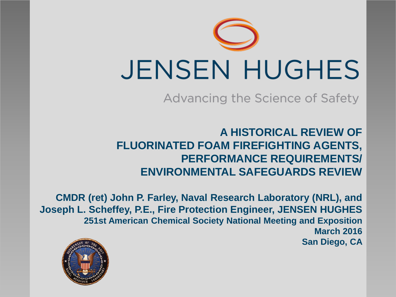

Advancing the Science of Safety

**A HISTORICAL REVIEW OF FLUORINATED FOAM FIREFIGHTING AGENTS, PERFORMANCE REQUIREMENTS/ ENVIRONMENTAL SAFEGUARDS REVIEW**

**CMDR (ret) John P. Farley, Naval Research Laboratory (NRL), and Joseph L. Scheffey, P.E., Fire Protection Engineer, JENSEN HUGHES 251st American Chemical Society National Meeting and Exposition March 2016 San Diego, CA**

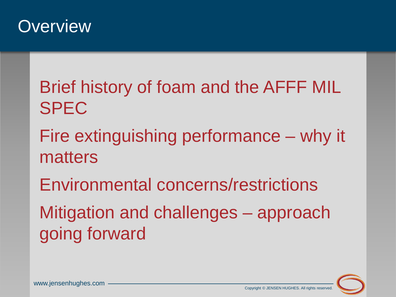

#### Brief history of foam and the AFFF MIL SPEC

- Fire extinguishing performance why it matters
- Environmental concerns/restrictions Mitigation and challenges – approach going forward



www.jensenhughes.com www.jensenhughes.com www.jensenhughes.com www.jensenhughes.com copyright © JENSEN HUGHES. All rights reserved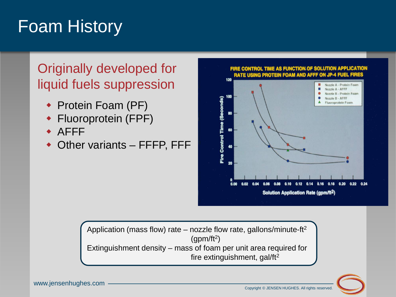## Foam History

#### Originally developed for liquid fuels suppression

- ◆ Protein Foam (PF)
- Fluoroprotein (FPF)
- AFFF
- Other variants FFFP, FFF



Application (mass flow) rate – nozzle flow rate, gallons/minute-ft<sup>2</sup>  $\text{(qpm/ft}^2)$ Extinguishment density – mass of foam per unit area required for fire extinguishment, gal/ft<sup>2</sup>

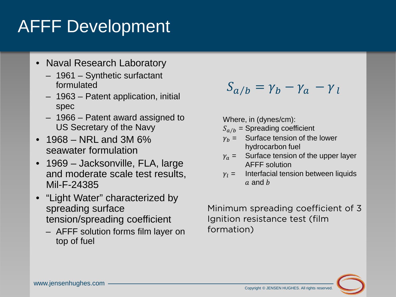# AFFF Development

- Naval Research Laboratory
	- 1961 Synthetic surfactant formulated
	- 1963 Patent application, initial spec
	- 1966 Patent award assigned to US Secretary of the Navy
- 1968 NRL and 3M  $6\%$ seawater formulation
- 1969 Jacksonville, FLA, large and moderate scale test results, Mil-F-24385
- "Light Water" characterized by spreading surface tension/spreading coefficient
	- AFFF solution forms film layer on top of fuel

 $S_{a/b} = \gamma_b - \gamma_a - \gamma_l$ 

Where, in (dynes/cm):

- $S_{a/b}$  = Spreading coefficient
- $v_h =$  Surface tension of the lower hydrocarbon fuel
- $v_a =$  Surface tension of the upper layer AFFF solution
- $y_1 =$  Interfacial tension between liquids  $a$  and  $b$

Minimum spreading coefficient of 3 Ignition resistance test (film formation)

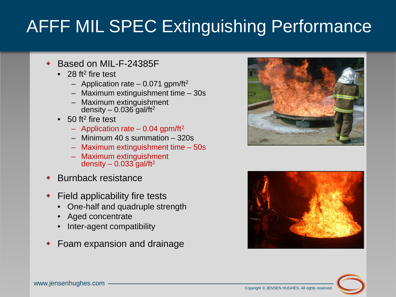# AFFF MIL SPEC Extinguishing Performance

- Based on MIL-F-24385F
	- 28 ft<sup>2</sup> fire test
		- Application rate 0.071 gpm/ft<sup>2</sup>
		- Maximum extinguishment time 30s
		- Maximum extinguishment density –  $0.036$  gal/ft<sup>2</sup>
	- $\bullet$  50 ft<sup>2</sup> fire test
		- Application rate 0.04 gpm/ft<sup>2</sup>
		- Minimum 40 s summation 320s
		- Maximum extinguishment time 50s
		- Maximum extinguishment density  $-0.033$  gal/ft<sup>2</sup>
- Burnback resistance
- Field applicability fire tests
	- One-half and quadruple strength
	- Aged concentrate
	- Inter-agent compatibility
- Foam expansion and drainage





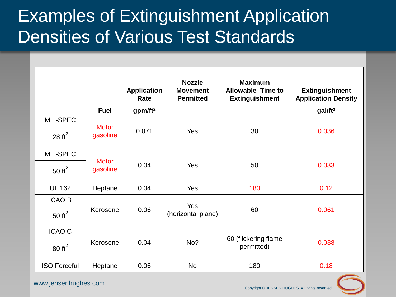## Examples of Extinguishment Application Densities of Various Test Standards

|                     |                          | <b>Application</b><br>Rate | <b>Nozzle</b><br><b>Movement</b><br><b>Permitted</b> | <b>Maximum</b><br><b>Allowable Time to</b><br><b>Extinguishment</b> | <b>Extinguishment</b><br><b>Application Density</b> |
|---------------------|--------------------------|----------------------------|------------------------------------------------------|---------------------------------------------------------------------|-----------------------------------------------------|
|                     | <b>Fuel</b>              | gpm/ft <sup>2</sup>        |                                                      |                                                                     | gal/ft <sup>2</sup>                                 |
| MIL-SPEC            | <b>Motor</b><br>gasoline | 0.071                      | Yes                                                  | 30                                                                  | 0.036                                               |
| 28 $ft^2$           |                          |                            |                                                      |                                                                     |                                                     |
| MIL-SPEC            | <b>Motor</b><br>gasoline | 0.04                       | Yes                                                  | 50                                                                  | 0.033                                               |
| 50 $ft^2$           |                          |                            |                                                      |                                                                     |                                                     |
| <b>UL 162</b>       | Heptane                  | 0.04                       | Yes                                                  | 180                                                                 | 0.12                                                |
| <b>ICAO B</b>       |                          |                            |                                                      |                                                                     |                                                     |
| 50 $ft^2$           | Kerosene                 | 0.06                       | Yes<br>(horizontal plane)                            | 60                                                                  | 0.061                                               |
| <b>ICAO C</b>       | Kerosene                 | 0.04                       | No?                                                  | 60 (flickering flame<br>permitted)                                  | 0.038                                               |
| $80 \text{ ft}^2$   |                          |                            |                                                      |                                                                     |                                                     |
| <b>ISO Forceful</b> | Heptane                  | 0.06                       | <b>No</b>                                            | 180                                                                 | 0.18                                                |



www.jensenhughes.com <u>www.jensenhughes.com</u>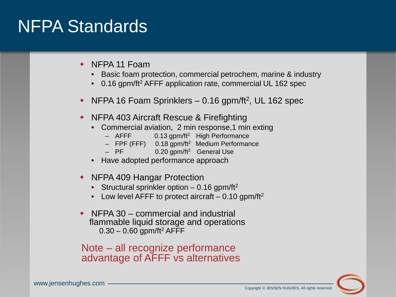#### NFPA Standards

- NFPA 11 Foam
	- Basic foam protection, commercial petrochem, marine & industry
	- 0.16 gpm/ft<sup>2</sup> AFFF application rate, commercial UL 162 spec
- NFPA 16 Foam Sprinklers 0.16 gpm/ft<sup>2</sup>, UL 162 spec
- ◆ NFPA 403 Aircraft Rescue & Firefighting
	- Commercial aviation, 2 min response,1 min exting
		- $-$  AFFF 0.13 gpm/ft<sup>2</sup> High Performance
		- $-$  FPF (FFF) 0.18 gpm/ft<sup>2</sup> Medium Performance
		- $-$  PF  $0.20$  gpm/ft<sup>2</sup> General Use
	- Have adopted performance approach
- NFPA 409 Hangar Protection
	- Structural sprinkler option  $-0.16$  gpm/ft<sup>2</sup>
	- Low level AFFF to protect aircraft  $-0.10$  gpm/ft<sup>2</sup>
- $\rightarrow$  NFPA 30 commercial and industrial flammable liquid storage and operations  $0.30 - 0.60$  gpm/ft<sup>2</sup> AFFF

Note – all recognize performance advantage of AFFF vs alternatives



www.jensenhughes.com www.jensenhughes.com www.jensenhughes.com www.jensenhughes.com copyright © JENSEN HUGHES. All rights reserved.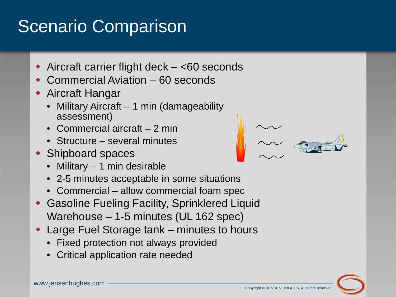## Scenario Comparison

- ◆ Aircraft carrier flight deck <60 seconds
- Commercial Aviation 60 seconds
- Aircraft Hangar
	- Military Aircraft 1 min (damageability assessment)
	- Commercial aircraft 2 min
	- Structure several minutes
- ◆ Shipboard spaces
	- Military 1 min desirable
	- 2-5 minutes acceptable in some situations
	- Commercial allow commercial foam spec
- Gasoline Fueling Facility, Sprinklered Liquid Warehouse – 1-5 minutes (UL 162 spec)
- Large Fuel Storage tank minutes to hours
	- Fixed protection not always provided
	- Critical application rate needed



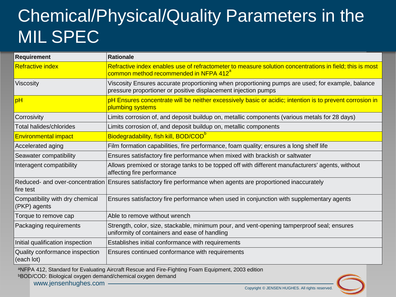# Chemical/Physical/Quality Parameters in the MIL SPEC

| <b>Requirement</b>                              | <b>Rationale</b>                                                                                                                                                   |  |  |  |
|-------------------------------------------------|--------------------------------------------------------------------------------------------------------------------------------------------------------------------|--|--|--|
| <b>Refractive index</b>                         | Refractive index enables use of refractometer to measure solution concentrations in field; this is most<br>common method recommended in NFPA 412 <sup>a</sup>      |  |  |  |
| Viscosity                                       | Viscosity Ensures accurate proportioning when proportioning pumps are used; for example, balance<br>pressure proportioner or positive displacement injection pumps |  |  |  |
| pH                                              | pH Ensures concentrate will be neither excessively basic or acidic; intention is to prevent corrosion in<br>plumbing systems                                       |  |  |  |
| Corrosivity                                     | Limits corrosion of, and deposit buildup on, metallic components (various metals for 28 days)                                                                      |  |  |  |
| Total halides/chlorides                         | Limits corrosion of, and deposit buildup on, metallic components                                                                                                   |  |  |  |
| <b>Environmental impact</b>                     | Biodegradability, fish kill, BOD/COD <sup>o</sup>                                                                                                                  |  |  |  |
| Accelerated aging                               | Film formation capabilities, fire performance, foam quality; ensures a long shelf life                                                                             |  |  |  |
| Seawater compatibility                          | Ensures satisfactory fire performance when mixed with brackish or saltwater                                                                                        |  |  |  |
| Interagent compatibility                        | Allows premixed or storage tanks to be topped off with different manufacturers' agents, without<br>affecting fire performance                                      |  |  |  |
| fire test                                       | Reduced- and over-concentration Ensures satisfactory fire performance when agents are proportioned inaccurately                                                    |  |  |  |
| Compatibility with dry chemical<br>(PKP) agents | Ensures satisfactory fire performance when used in conjunction with supplementary agents                                                                           |  |  |  |
| Torque to remove cap                            | Able to remove without wrench                                                                                                                                      |  |  |  |
| Packaging requirements                          | Strength, color, size, stackable, minimum pour, and vent-opening tamperproof seal; ensures<br>uniformity of containers and ease of handling                        |  |  |  |
| Initial qualification inspection                | Establishes initial conformance with requirements                                                                                                                  |  |  |  |
| Quality conformance inspection<br>(each lot)    | Ensures continued conformance with requirements                                                                                                                    |  |  |  |

aNFPA 412, Standard for Evaluating Aircraft Rescue and Fire-Fighting Foam Equipment, 2003 edition bBOD/COD: Biological oxygen demand/chemical oxygen demand

www.jensenhughes.com www.jensenhughes.com www.jensenhughes.com www.jensenhughes.com copyright © JENSEN HUGHES. All rights reserved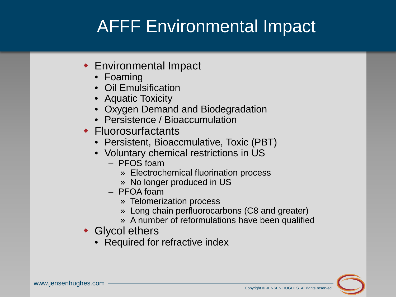# AFFF Environmental Impact

- Environmental Impact
	- Foaming
	- Oil Emulsification
	- Aquatic Toxicity
	- Oxygen Demand and Biodegradation
	- Persistence / Bioaccumulation
- ◆ Fluorosurfactants
	- Persistent, Bioaccmulative, Toxic (PBT)
	- Voluntary chemical restrictions in US
		- PFOS foam
			- » Electrochemical fluorination process
			- » No longer produced in US
		- PFOA foam
			- » Telomerization process
			- » Long chain perfluorocarbons (C8 and greater)
			- » A number of reformulations have been qualified
- Glycol ethers
	- Required for refractive index

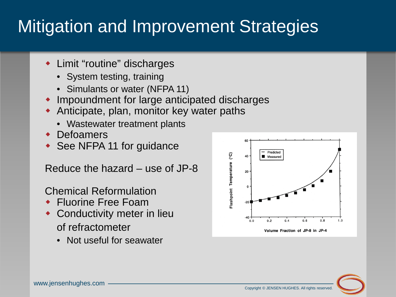# Mitigation and Improvement Strategies

- Limit "routine" discharges
	- System testing, training
	- Simulants or water (NFPA 11)
- Impoundment for large anticipated discharges
- Anticipate, plan, monitor key water paths
	- Wastewater treatment plants
- Defoamers
- ◆ See NFPA 11 for guidance

Reduce the hazard – use of JP-8

Chemical Reformulation

- ◆ Fluorine Free Foam
- Conductivity meter in lieu of refractometer
	- Not useful for seawater



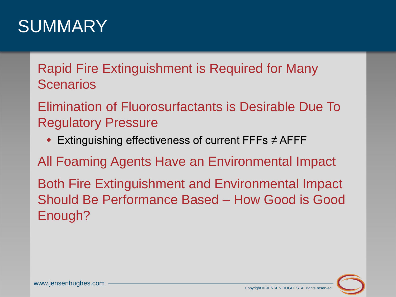#### SUMMARY

Rapid Fire Extinguishment is Required for Many **Scenarios** 

Elimination of Fluorosurfactants is Desirable Due To Regulatory Pressure

Extinguishing effectiveness of current FFFs ≠ AFFF

All Foaming Agents Have an Environmental Impact

Both Fire Extinguishment and Environmental Impact Should Be Performance Based – How Good is Good Enough?